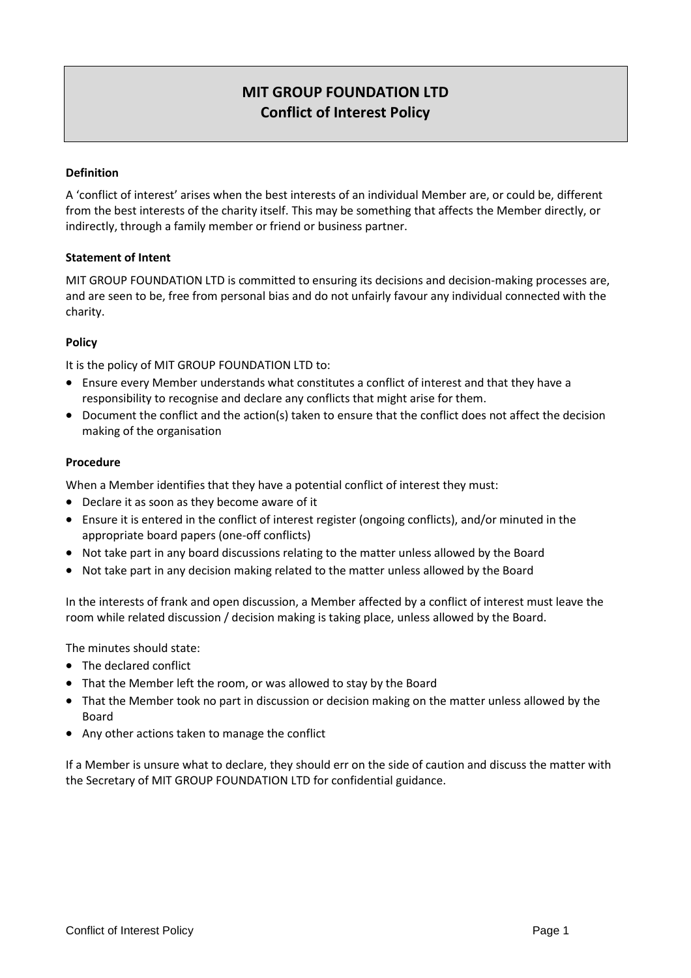# **MIT GROUP FOUNDATION LTD Conflict of Interest Policy**

# **Definition**

A 'conflict of interest' arises when the best interests of an individual Member are, or could be, different from the best interests of the charity itself. This may be something that affects the Member directly, or indirectly, through a family member or friend or business partner.

# **Statement of Intent**

MIT GROUP FOUNDATION LTD is committed to ensuring its decisions and decision-making processes are, and are seen to be, free from personal bias and do not unfairly favour any individual connected with the charity.

# **Policy**

It is the policy of MIT GROUP FOUNDATION LTD to:

- Ensure every Member understands what constitutes a conflict of interest and that they have a responsibility to recognise and declare any conflicts that might arise for them.
- Document the conflict and the action(s) taken to ensure that the conflict does not affect the decision making of the organisation

### **Procedure**

When a Member identifies that they have a potential conflict of interest they must:

- Declare it as soon as they become aware of it
- Ensure it is entered in the conflict of interest register (ongoing conflicts), and/or minuted in the appropriate board papers (one-off conflicts)
- Not take part in any board discussions relating to the matter unless allowed by the Board
- Not take part in any decision making related to the matter unless allowed by the Board

In the interests of frank and open discussion, a Member affected by a conflict of interest must leave the room while related discussion / decision making is taking place, unless allowed by the Board.

The minutes should state:

- The declared conflict
- That the Member left the room, or was allowed to stay by the Board
- That the Member took no part in discussion or decision making on the matter unless allowed by the Board
- Any other actions taken to manage the conflict

If a Member is unsure what to declare, they should err on the side of caution and discuss the matter with the Secretary of MIT GROUP FOUNDATION LTD for confidential guidance.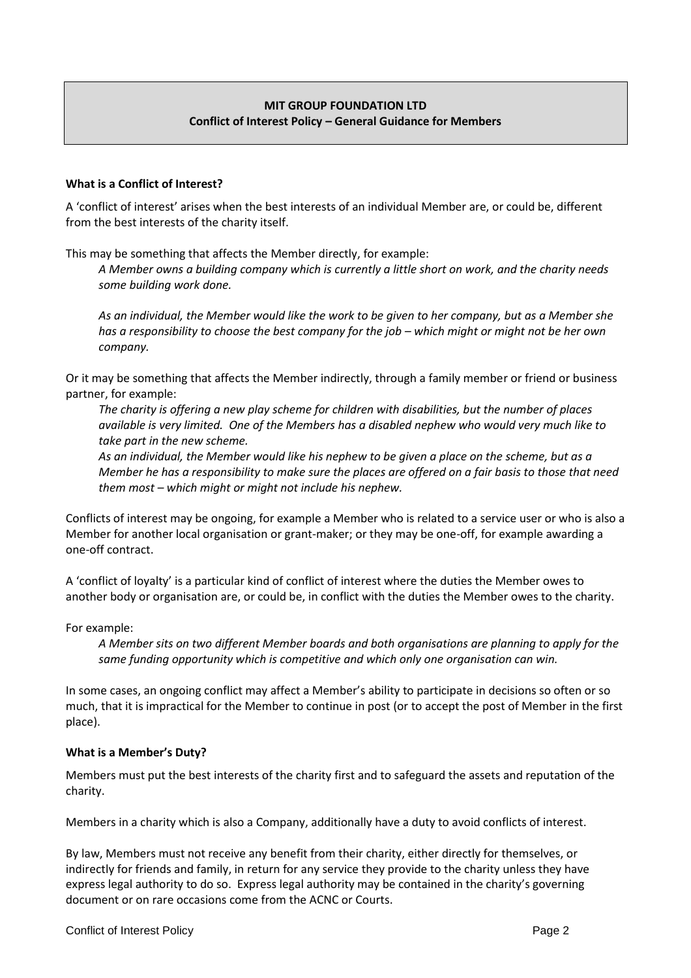# **MIT GROUP FOUNDATION LTD Conflict of Interest Policy – General Guidance for Members**

### **What is a Conflict of Interest?**

A 'conflict of interest' arises when the best interests of an individual Member are, or could be, different from the best interests of the charity itself.

This may be something that affects the Member directly, for example:

*A Member owns a building company which is currently a little short on work, and the charity needs some building work done.* 

*As an individual, the Member would like the work to be given to her company, but as a Member she has a responsibility to choose the best company for the job – which might or might not be her own company.*

Or it may be something that affects the Member indirectly, through a family member or friend or business partner, for example:

*The charity is offering a new play scheme for children with disabilities, but the number of places available is very limited. One of the Members has a disabled nephew who would very much like to take part in the new scheme.*

*As an individual, the Member would like his nephew to be given a place on the scheme, but as a Member he has a responsibility to make sure the places are offered on a fair basis to those that need them most – which might or might not include his nephew.*

Conflicts of interest may be ongoing, for example a Member who is related to a service user or who is also a Member for another local organisation or grant-maker; or they may be one-off, for example awarding a one-off contract.

A 'conflict of loyalty' is a particular kind of conflict of interest where the duties the Member owes to another body or organisation are, or could be, in conflict with the duties the Member owes to the charity.

For example:

*A Member sits on two different Member boards and both organisations are planning to apply for the same funding opportunity which is competitive and which only one organisation can win.*

In some cases, an ongoing conflict may affect a Member's ability to participate in decisions so often or so much, that it is impractical for the Member to continue in post (or to accept the post of Member in the first place).

### **What is a Member's Duty?**

Members must put the best interests of the charity first and to safeguard the assets and reputation of the charity.

Members in a charity which is also a Company, additionally have a duty to avoid conflicts of interest.

By law, Members must not receive any benefit from their charity, either directly for themselves, or indirectly for friends and family, in return for any service they provide to the charity unless they have express legal authority to do so. Express legal authority may be contained in the charity's governing document or on rare occasions come from the ACNC or Courts.